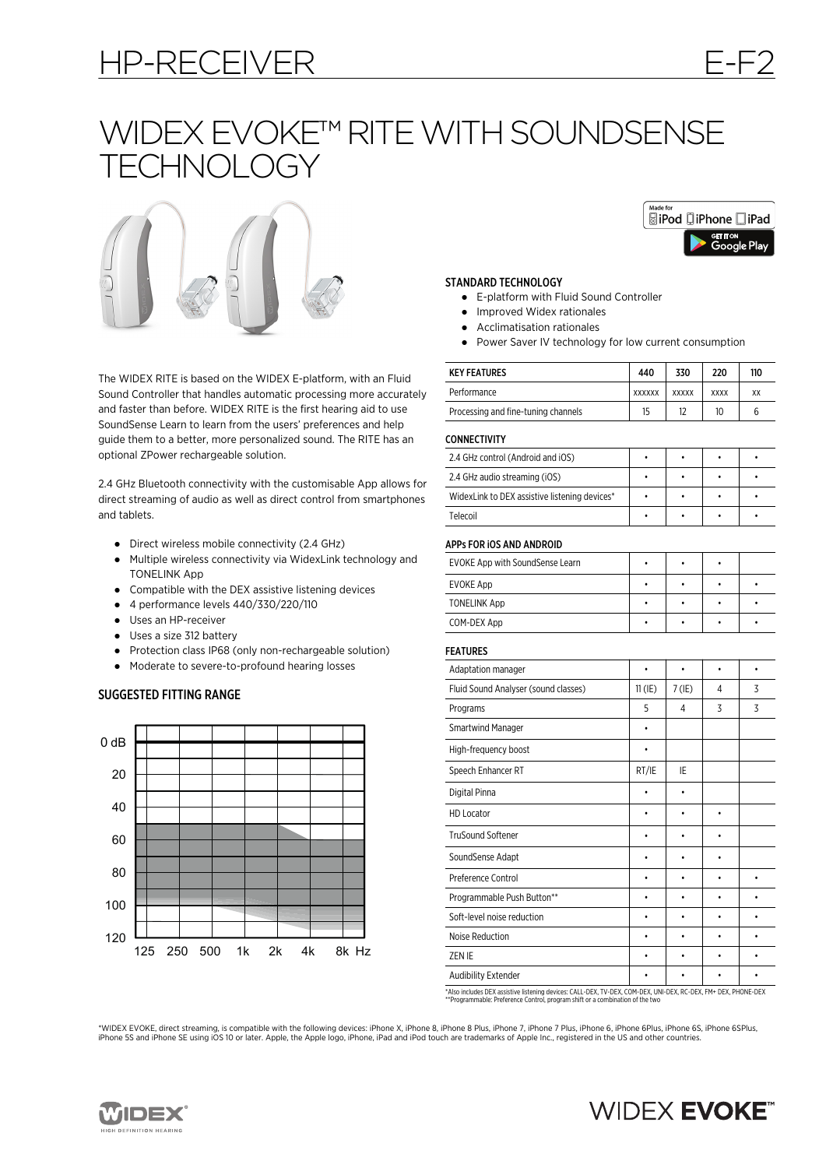# HP-RECEIVER E-F2

# WIDEX EVOKE™ RITE WITH SOUNDSENSE **TECHNOLOGY**



The WIDEX RITE is based on the WIDEX E-platform, with an Fluid Sound Controller that handles automatic processing more accurately and faster than before. WIDEX RITE is the first hearing aid to use SoundSense Learn to learn from the users' preferences and help guide them to a better, more personalized sound. The RITE has an optional ZPower rechargeable solution.

2.4 GHz Bluetooth connectivity with the customisable App allows for direct streaming of audio as well as direct control from smartphones and tablets.

- Direct wireless mobile connectivity (2.4 GHz)
- Multiple wireless connectivity via WidexLink technology and TONELINK App
- Compatible with the DEX assistive listening devices
- 4 performance levels 440/330/220/110
- Uses an HP-receiver
- Uses a size 312 battery
- Protection class IP68 (only non-rechargeable solution)
- Moderate to severe-to-profound hearing losses

### SUGGESTED FITTING RANGE





### STANDARD TECHNOLOGY

- E-platform with Fluid Sound Controller
- Improved Widex rationales
- Acclimatisation rationales
- Power Saver IV technology for low current consumption

| <b>KEY FEATURES</b>                 | 440           | 330          | 220         | 110 |
|-------------------------------------|---------------|--------------|-------------|-----|
| Performance                         | <b>XXXXXX</b> | <b>XXXXX</b> | <b>XXXX</b> | XX  |
| Processing and fine-tuning channels | 15            | 12           | 10          |     |
|                                     |               |              |             |     |

**CONNECTIVITY** 

| 2.4 GHz control (Android and iOS)             |  |  |
|-----------------------------------------------|--|--|
| 2.4 GHz audio streaming (iOS)                 |  |  |
| WidexLink to DEX assistive listening devices* |  |  |
| Telecoil                                      |  |  |

### APPs FOR iOS AND ANDROID

| EVOKE App with SoundSense Learn |  |  |
|---------------------------------|--|--|
| EVOKE App                       |  |  |
| <b>TONELINK App</b>             |  |  |
| COM-DEX App                     |  |  |

### FEATURES

| Adaptation manager                   |           |          |   |   |
|--------------------------------------|-----------|----------|---|---|
| Fluid Sound Analyser (sound classes) | $11$ (IE) | $7$ (IE) | 4 | 3 |
| Programs                             | 5         | 4        | 3 | 3 |
| <b>Smartwind Manager</b>             | ٠         |          |   |   |
| High-frequency boost                 |           |          |   |   |
| Speech Enhancer RT                   | RT/IE     | IE       |   |   |
| Digital Pinna                        |           |          |   |   |
| <b>HD Locator</b>                    |           |          |   |   |
| <b>TruSound Softener</b>             |           |          |   |   |
| SoundSense Adapt                     |           |          |   |   |
| Preference Control                   |           |          |   | ٠ |
| Programmable Push Button**           |           |          |   |   |
| Soft-level noise reduction           |           |          |   |   |
| Noise Reduction                      |           |          |   |   |
| ZEN IE                               |           |          |   |   |
| <b>Audibility Extender</b>           |           |          |   |   |

\*Also includes DEX assistive listening devices: CALL-DEX, TV-DEX, COM-DEX, UNI-DEX, RC-DEX, FM+ DEX, PHONE-DEX \*\*Programmable: Preference Control, program shift or a combination of the two

\*WIDEX EVOKE, direct streaming, is compatible with the following devices: iPhone X, iPhone 8, iPhone 8 Plus, iPhone 7, iPhone 7 Plus, iPhone 6, iPhone 6Plus, iPhone 6S, iPhone 6SPlus, iPhone 5S and iPhone SE using iOS 10 or later. Apple, the Apple logo, iPhone, iPad and iPod touch are trademarks of Apple Inc., registered in the US and other countries.



## **WIDEX EVOKE<sup>®</sup>**